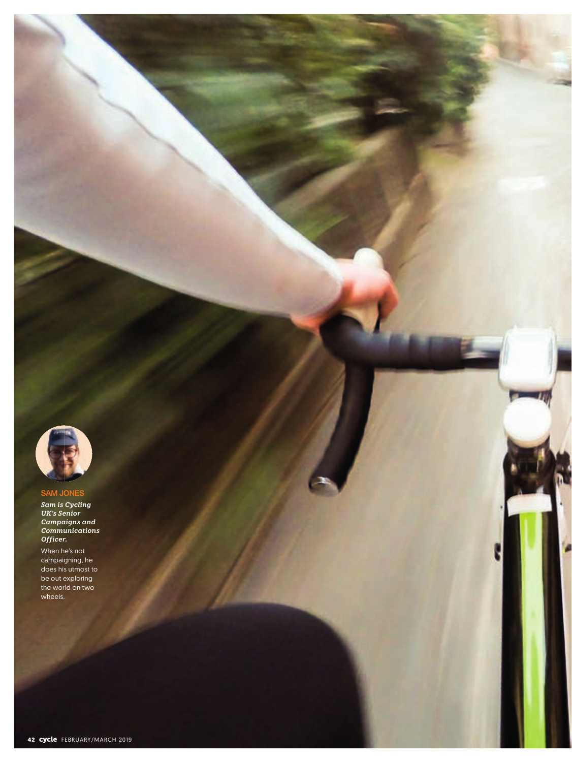

# **SAM JONES**

*Sam is Cycling UK's Senior Campaigns and Communications Officer.* 

When he's not campaigning, he does his utmost to be out exploring the world on two wheels.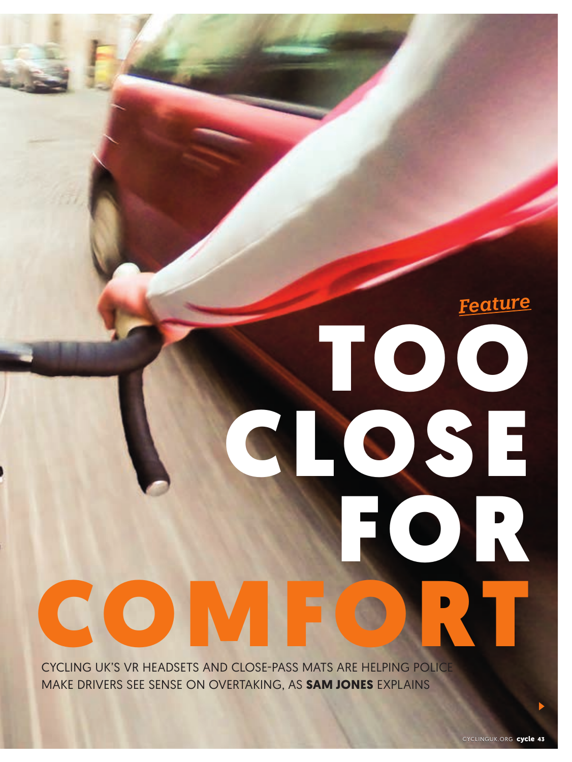CYCLING UK'S VR HEADSETS AND CLOSE-PASS MATS ARE HELPING POLICE MAKE DRIVERS SEE SENSE ON OVERTAKING, AS **SAM JONES** EXPLAINS

COMFORT

*Feature*

TOO

FOR

CLOSE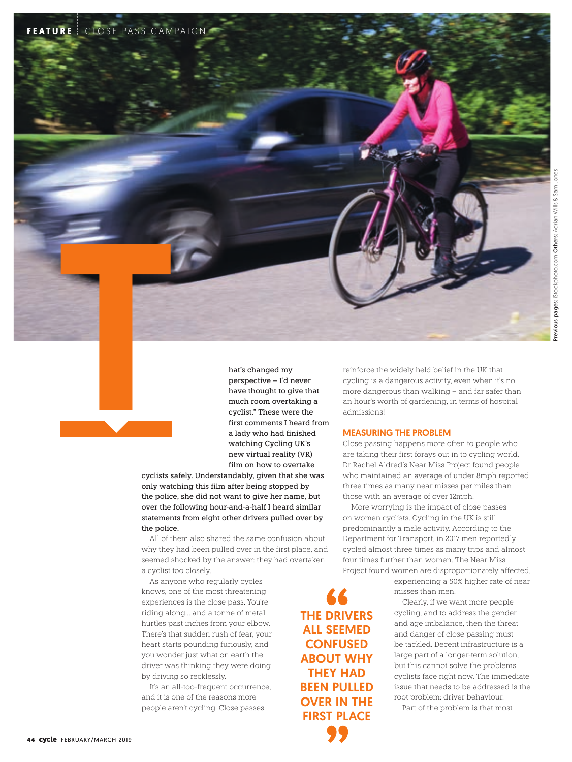

THE DRIVERS ALL SEEMED **CONFUSED** ABOUT WHY THEY HAD BEEN PULLED OVER IN THE FIRST PLACE

cyclists safely. Understandably, given that she was only watching this film after being stopped by the police, she did not want to give her name, but over the following hour-and-a-half I heard similar statements from eight other drivers pulled over by the police.

All of them also shared the same confusion about why they had been pulled over in the first place, and seemed shocked by the answer: they had overtaken a cyclist too closely.

As anyone who regularly cycles knows, one of the most threatening experiences is the close pass. You're riding along… and a tonne of metal hurtles past inches from your elbow. There's that sudden rush of fear, your heart starts pounding furiously, and you wonder just what on earth the driver was thinking they were doing by driving so recklessly.

It's an all-too-frequent occurrence, and it is one of the reasons more people aren't cycling. Close passes

reinforce the widely held belief in the UK that cycling is a dangerous activity, even when it's no more dangerous than walking – and far safer than an hour's worth of gardening, in terms of hospital admissions!

#### MEASURING THE PROBLEM

Close passing happens more often to people who are taking their first forays out in to cycling world. Dr Rachel Aldred's Near Miss Project found people who maintained an average of under 8mph reported three times as many near misses per miles than those with an average of over 12mph.

More worrying is the impact of close passes on women cyclists. Cycling in the UK is still predominantly a male activity. According to the Department for Transport, in 2017 men reportedly cycled almost three times as many trips and almost four times further than women. The Near Miss Project found women are disproportionately affected,

> experiencing a 50% higher rate of near misses than men.

Clearly, if we want more people cycling, and to address the gender and age imbalance, then the threat and danger of close passing must be tackled. Decent infrastructure is a large part of a longer-term solution, but this cannot solve the problems cyclists face right now. The immediate issue that needs to be addressed is the root problem: driver behaviour.

Part of the problem is that most

FEATURE CLOSE PASS CAMPAIGN

T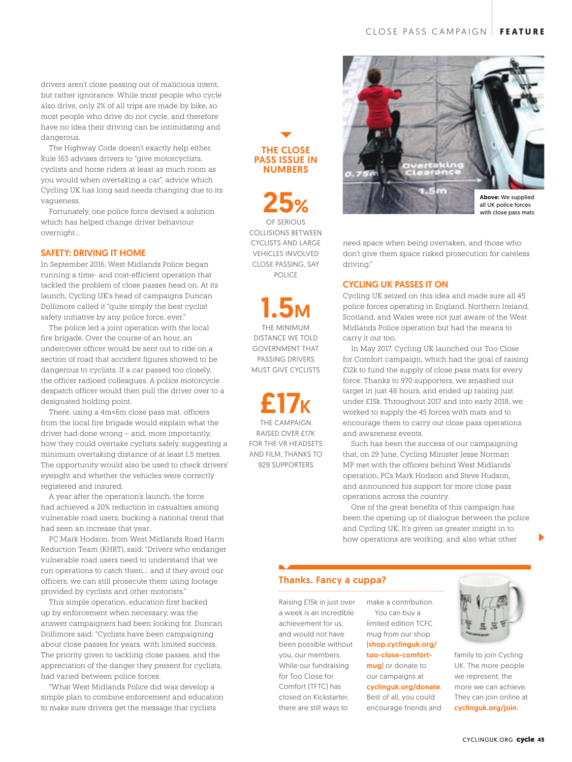drivers aren't close passing out of malicious intent, but rather ignorance. While most people who cycle also drive, only 2% of all trips are made by bike, so most people who drive do not cycle, and therefore have no idea their driving can be intimidating and dangerous.

The Highway Code doesn't exactly help either. Rule 163 advises drivers to "give motorcyclists, cyclists and horse riders at least as much room as you would when overtaking a car", advice which Cycling UK has long said needs changing due to its vagueness.

Fortunately, one police force devised a solution which has helped change driver behaviour overnight…

#### SAFETY: DRIVING IT HOME

In September 2016, West Midlands Police began running a time- and cost-efficient operation that tackled the problem of close passes head on. At its launch, Cycling UK's head of campaigns Duncan Dollimore called it "quite simply the best cyclist safety initiative by any police force, ever."

The police led a joint operation with the local fire brigade. Over the course of an hour, an undercover officer would be sent out to ride on a section of road that accident figures showed to be dangerous to cyclists. If a car passed too closely, the officer radioed colleagues. A police motorcycle despatch officer would then pull the driver over to a designated holding point.

There, using a 4m×6m close pass mat, officers from the local fire brigade would explain what the driver had done wrong – and, more importantly, how they could overtake cyclists safely, suggesting a minimum overtaking distance of at least 1.5 metres. The opportunity would also be used to check drivers' eyesight and whether the vehicles were correctly registered and insured.

A year after the operation's launch, the force had achieved a 20% reduction in casualties among vulnerable road users, bucking a national trend that had seen an increase that year.

PC Mark Hodson, from West Midlands Road Harm Reduction Team (RHRT), said: "Drivers who endanger vulnerable road users need to understand that we run operations to catch them… and if they avoid our officers, we can still prosecute them using footage provided by cyclists and other motorists."

This simple operation, education first backed up by enforcement when necessary, was the answer campaigners had been looking for. Duncan Dollimore said: "Cyclists have been campaigning about close passes for years, with limited success. The priority given to tackling close passes, and the appreciation of the danger they present for cyclists, had varied between police forces.

"What West Midlands Police did was develop a simple plan to combine enforcement and education to make sure drivers get the message that cyclists

## THE CLOSE PASS ISSUE IN NUMBERS

25% OF SERIOUS COLLISIONS BETWEEN CYCLISTS AND LARGE VEHICLES INVOLVED CLOSE PASSING, SAY POLICE

1.5M THE MINIMUM DISTANCE WE TOLD

GOVERNMENT THAT PASSING DRIVERS MUST GIVE CYCLISTS

£17K THE CAMPAIGN RAISED OVER £17K FOR THE VR HEADSETS AND FILM, THANKS TO 929 SUPPORTERS



with close pass mats

need space when being overtaken, and those who don't give them space risked prosecution for careless driving."

#### CYCLING UK PASSES IT ON

Cycling UK seized on this idea and made sure all 45 police forces operating in England, Northern Ireland, Scotland, and Wales were not just aware of the West Midlands Police operation but had the means to carry it out too.

In May 2017, Cycling UK launched our Too Close for Comfort campaign, which had the goal of raising £12k to fund the supply of close pass mats for every force. Thanks to 970 supporters, we smashed our target in just 48 hours, and ended up raising just under £15k. Throughout 2017 and into early 2018, we worked to supply the 45 forces with mats and to encourage them to carry out close pass operations and awareness events.

Such has been the success of our campaigning that, on 29 June, Cycling Minister Jesse Norman MP met with the officers behind West Midlands' operation, PCs Mark Hodson and Steve Hudson, and announced his support for more close pass operations across the country.

One of the great benefits of this campaign has been the opening up of dialogue between the police and Cycling UK. It's given us greater insight in to how operations are working, and also what other

### Thanks. Fancy a cuppa?

Raising £15k in just over a week is an incredible achievement for us, and would not have been possible without you, our members. While our fundraising for Too Close for Comfort (TFTC) has closed on Kickstarter, there are still ways to

make a contribution. You can buy a limited edition TCFC mug from our shop (shop.cyclinguk.org/ too-close-comfortmug) or donate to our campaigns at cyclinguk.org/donate. Best of all, you could encourage friends and



family to join Cycling UK. The more people we represent, the more we can achieve. They can join online at cyclinguk.org/join.